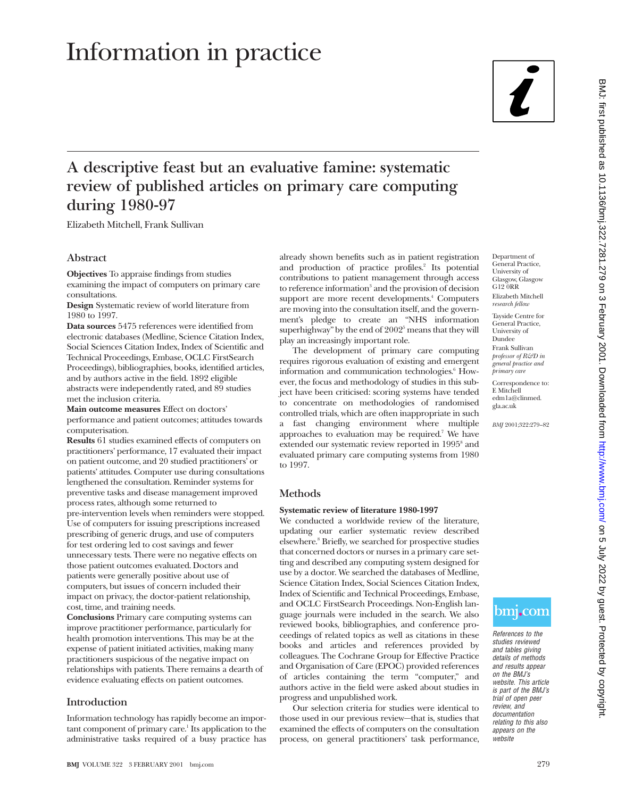# Information in practice



# **A descriptive feast but an evaluative famine: systematic review of published articles on primary care computing during 1980-97**

Elizabeth Mitchell, Frank Sullivan

# **Abstract**

**Objectives** To appraise findings from studies examining the impact of computers on primary care consultations.

**Design** Systematic review of world literature from 1980 to 1997.

**Data sources** 5475 references were identified from electronic databases (Medline, Science Citation Index, Social Sciences Citation Index, Index of Scientific and Technical Proceedings, Embase, OCLC FirstSearch Proceedings), bibliographies, books, identified articles, and by authors active in the field. 1892 eligible abstracts were independently rated, and 89 studies met the inclusion criteria.

**Main outcome measures** Effect on doctors' performance and patient outcomes; attitudes towards computerisation.

**Results** 61 studies examined effects of computers on practitioners' performance, 17 evaluated their impact on patient outcome, and 20 studied practitioners' or patients' attitudes. Computer use during consultations lengthened the consultation. Reminder systems for preventive tasks and disease management improved process rates, although some returned to pre-intervention levels when reminders were stopped. Use of computers for issuing prescriptions increased prescribing of generic drugs, and use of computers for test ordering led to cost savings and fewer unnecessary tests. There were no negative effects on those patient outcomes evaluated. Doctors and patients were generally positive about use of computers, but issues of concern included their impact on privacy, the doctor-patient relationship, cost, time, and training needs.

**Conclusions** Primary care computing systems can improve practitioner performance, particularly for health promotion interventions. This may be at the expense of patient initiated activities, making many practitioners suspicious of the negative impact on relationships with patients. There remains a dearth of evidence evaluating effects on patient outcomes.

# **Introduction**

Information technology has rapidly become an impor $t$ ant component of primary care.<sup>1</sup> Its application to the administrative tasks required of a busy practice has

already shown benefits such as in patient registration and production of practice profiles.<sup>2</sup> Its potential contributions to patient management through access to reference information<sup>3</sup> and the provision of decision support are more recent developments.<sup>4</sup> Computers are moving into the consultation itself, and the government's pledge to create an "NHS information superhighway" by the end of  $2002^5$  means that they will play an increasingly important role.

The development of primary care computing requires rigorous evaluation of existing and emergent information and communication technologies.<sup>6</sup> However, the focus and methodology of studies in this subject have been criticised: scoring systems have tended to concentrate on methodologies of randomised controlled trials, which are often inappropriate in such a fast changing environment where multiple approaches to evaluation may be required.<sup>7</sup> We have extended our systematic review reported in 1995<sup>8</sup> and evaluated primary care computing systems from 1980 to 1997.

# **Methods**

#### **Systematic review of literature 1980-1997**

We conducted a worldwide review of the literature, updating our earlier systematic review described elsewhere.8 Briefly, we searched for prospective studies that concerned doctors or nurses in a primary care setting and described any computing system designed for use by a doctor. We searched the databases of Medline, Science Citation Index, Social Sciences Citation Index, Index of Scientific and Technical Proceedings, Embase, and OCLC FirstSearch Proceedings. Non-English language journals were included in the search. We also reviewed books, bibliographies, and conference proceedings of related topics as well as citations in these books and articles and references provided by colleagues. The Cochrane Group for Effective Practice and Organisation of Care (EPOC) provided references of articles containing the term "computer," and authors active in the field were asked about studies in progress and unpublished work.

Our selection criteria for studies were identical to those used in our previous review—that is, studies that examined the effects of computers on the consultation process, on general practitioners' task performance,

Tayside Centre for General Practice, University of Dundee Frank Sullivan *professor of R&D in general practice and*

*primary care* Correspondence to: E Mitchell edm1a@clinmed.

gla.ac.uk

*BMJ* 2001;322:279–82

References to the studies reviewed and tables giving details of methods and results appear on the BMJ's website. This article is part of the BMJ's trial of open peer review, and documentation relating to this also appears on the website

bm<sub>i</sub>.com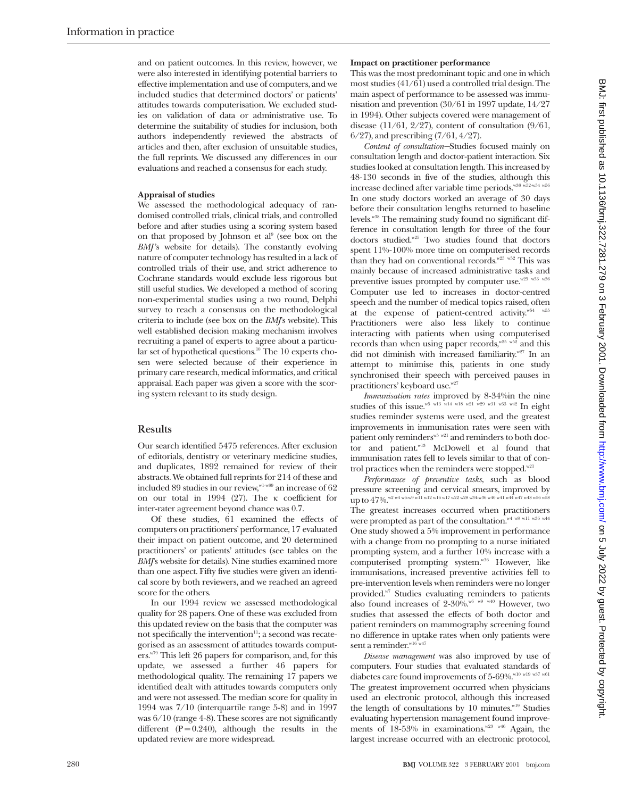and on patient outcomes. In this review, however, we were also interested in identifying potential barriers to effective implementation and use of computers, and we included studies that determined doctors' or patients' attitudes towards computerisation. We excluded studies on validation of data or administrative use. To determine the suitability of studies for inclusion, both authors independently reviewed the abstracts of articles and then, after exclusion of unsuitable studies, the full reprints. We discussed any differences in our evaluations and reached a consensus for each study.

#### **Appraisal of studies**

We assessed the methodological adequacy of randomised controlled trials, clinical trials, and controlled before and after studies using a scoring system based on that proposed by Johnson et al<sup>9</sup> (see box on the *BMJ*'s website for details). The constantly evolving nature of computer technology has resulted in a lack of controlled trials of their use, and strict adherence to Cochrane standards would exclude less rigorous but still useful studies. We developed a method of scoring non-experimental studies using a two round, Delphi survey to reach a consensus on the methodological criteria to include (see box on the *BMJ*'s website). This well established decision making mechanism involves recruiting a panel of experts to agree about a particular set of hypothetical questions.<sup>10</sup> The 10 experts chosen were selected because of their experience in primary care research, medical informatics, and critical appraisal. Each paper was given a score with the scoring system relevant to its study design.

#### **Results**

Our search identified 5475 references. After exclusion of editorials, dentistry or veterinary medicine studies, and duplicates, 1892 remained for review of their abstracts. We obtained full reprints for 214 of these and included 89 studies in our review,  $N^{1-w89}$  an increase of 62 on our total in 1994 (27). The  $\kappa$  coefficient for inter-rater agreement beyond chance was 0.7.

Of these studies, 61 examined the effects of computers on practitioners' performance, 17 evaluated their impact on patient outcome, and 20 determined practitioners' or patients' attitudes (see tables on the *BMJ*'s website for details). Nine studies examined more than one aspect. Fifty five studies were given an identical score by both reviewers, and we reached an agreed score for the others.

In our 1994 review we assessed methodological quality for 28 papers. One of these was excluded from this updated review on the basis that the computer was not specifically the intervention $\mathbf{u}$ ; a second was recategorised as an assessment of attitudes towards computers.w79 This left 26 papers for comparison, and, for this update, we assessed a further 46 papers for methodological quality. The remaining 17 papers we identified dealt with attitudes towards computers only and were not assessed. The median score for quality in 1994 was 7/10 (interquartile range 5-8) and in 1997 was 6/10 (range 4-8). These scores are not significantly different  $(P = 0.240)$ , although the results in the updated review are more widespread.

#### **Impact on practitioner performance**

This was the most predominant topic and one in which most studies (41/61) used a controlled trial design. The main aspect of performance to be assessed was immunisation and prevention (30/61 in 1997 update, 14/27 in 1994). Other subjects covered were management of disease  $(11/61, 2/27)$ , content of consultation  $(9/61, 1/61)$ 6/27), and prescribing (7/61, 4/27).

*Content of consultation—*Studies focused mainly on consultation length and doctor-patient interaction. Six studies looked at consultation length. This increased by 48-130 seconds in five of the studies, although this increase declined after variable time periods.<sup>w38 w52-w54 w56</sup> In one study doctors worked an average of 30 days before their consultation lengths returned to baseline levels.w38 The remaining study found no significant difference in consultation length for three of the four doctors studied.<sup>w25</sup> Two studies found that doctors spent 11%-100% more time on computerised records than they had on conventional records.<sup>w25</sup> w<sup>52</sup> This was mainly because of increased administrative tasks and preventive issues prompted by computer use. $w^{25 \text{ w53 w56}}$ Computer use led to increases in doctor-centred speech and the number of medical topics raised, often at the expense of patient-centred activity.<sup>w54</sup> w<sup>55</sup> Practitioners were also less likely to continue interacting with patients when using computerised records than when using paper records, w25 w52 and this did not diminish with increased familiarity.<sup>w27</sup> In an attempt to minimise this, patients in one study synchronised their speech with perceived pauses in practitioners' keyboard use.<sup>w27</sup>

*Immunisation rates* improved by 8-34%in the nine studies of this issue.<sup>w5 w13</sup> w<sup>14 w18 w21 w29 w31 w33 w42</sup> In eight studies reminder systems were used, and the greatest improvements in immunisation rates were seen with patient only reminders  $w_5$  w<sup>21</sup> and reminders to both doctor and patient.w13 McDowell et al found that immunisation rates fell to levels similar to that of control practices when the reminders were stopped.<sup>w21</sup>

*Performance of preventive tasks*, such as blood pressure screening and cervical smears, improved by up to  $47\%$ . w<sup>2</sup> w4 w6-w9 w11 w12 w16 w17 w22 w28 w34-w36 w40 w41 w44 w47 w48 w56 w5 The greatest increases occurred when practitioners were prompted as part of the consultation.<sup>w4 w8 w11 w36 w44</sup> One study showed a 5% improvement in performance with a change from no prompting to a nurse initiated prompting system, and a further 10% increase with a computerised prompting system.<sup>w36</sup> However, like immunisations, increased preventive activities fell to pre-intervention levels when reminders were no longer provided.<sup>w7</sup> Studies evaluating reminders to patients also found increases of  $2-30\%$ . W6 w9 w40 However, two studies that assessed the effects of both doctor and patient reminders on mammography screening found no difference in uptake rates when only patients were sent a reminder.<sup>w16</sup> w47

*Disease management* was also improved by use of computers. Four studies that evaluated standards of diabetes care found improvements of  $5\text{-}69\%$  .  $^{\rm w10}$  w<sup>19 w87 w61</sup> The greatest improvement occurred when physicians used an electronic protocol, although this increased the length of consultations by 10 minutes.<sup>w19</sup> Studies evaluating hypertension management found improvements of 18-53% in examinations.<sup>w23 w46</sup> Again, the largest increase occurred with an electronic protocol,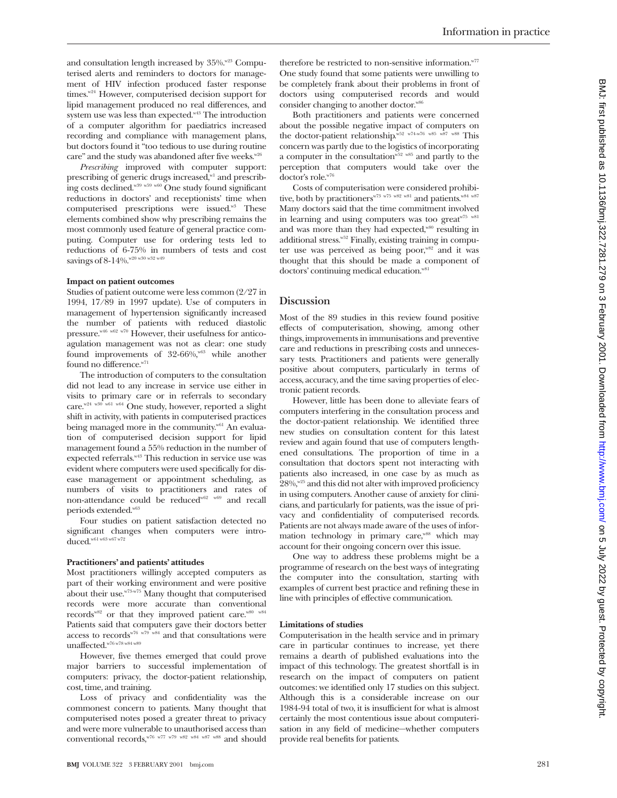and consultation length increased by  $35\%$ .  $823$  Computerised alerts and reminders to doctors for management of HIV infection produced faster response times.<sup>w24</sup> However, computerised decision support for lipid management produced no real differences, and system use was less than expected.<sup>w43</sup> The introduction of a computer algorithm for paediatrics increased recording and compliance with management plans, but doctors found it "too tedious to use during routine care" and the study was abandoned after five weeks.<sup>w26</sup>

*Prescribing* improved with computer support: prescribing of generic drugs increased,<sup>w1</sup> and prescribing costs declined.w39 w59 w60 One study found significant reductions in doctors' and receptionists' time when computerised prescriptions were issued.w3 These elements combined show why prescribing remains the most commonly used feature of general practice computing. Computer use for ordering tests led to reductions of 6-75% in numbers of tests and cost savings of 8-14%.<sup>w20 w30 w32 w49</sup>

### **Impact on patient outcomes**

Studies of patient outcome were less common (2/27 in 1994, 17/89 in 1997 update). Use of computers in management of hypertension significantly increased the number of patients with reduced diastolic pressure.<sup>w46</sup> <sup>w62</sup> w<sup>70</sup> However, their usefulness for anticoagulation management was not as clear: one study found improvements of 32-66%, while another found no difference.<sup>w71</sup>

The introduction of computers to the consultation did not lead to any increase in service use either in visits to primary care or in referrals to secondary care.<sup>w24 w30 w61 w64</sup> One study, however, reported a slight shift in activity, with patients in computerised practices being managed more in the community.<sup>w61</sup> An evaluation of computerised decision support for lipid management found a 55% reduction in the number of expected referrals.<sup>w43</sup> This reduction in service use was evident where computers were used specifically for disease management or appointment scheduling, as numbers of visits to practitioners and rates of non-attendance could be reducedw62 w69 and recall periods extended.<sup>w63</sup>

Four studies on patient satisfaction detected no significant changes when computers were introduced.w61 w63 w67 w72

#### **Practitioners' and patients' attitudes**

Most practitioners willingly accepted computers as part of their working environment and were positive about their use.<sup>w73-w75</sup> Many thought that computerised records were more accurate than conventional records<sup>w82</sup> or that they improved patient care.<sup>w80</sup> w84 Patients said that computers gave their doctors better access to records<sup>w76 w79</sup> w84 and that consultations were  $\label{eq:unaffected} \text{unaffected.}^{\text{w76}\,\text{w78}\,\text{w84}\,\text{w89}}$ 

However, five themes emerged that could prove major barriers to successful implementation of computers: privacy, the doctor-patient relationship, cost, time, and training.

Loss of privacy and confidentiality was the commonest concern to patients. Many thought that computerised notes posed a greater threat to privacy and were more vulnerable to unauthorised access than conventional records, w76 w77 w79 w82 w84 w87 w88 and should

therefore be restricted to non-sensitive information.<sup>w77</sup> One study found that some patients were unwilling to be completely frank about their problems in front of doctors using computerised records and would consider changing to another doctor.<sup>w86</sup>

Both practitioners and patients were concerned about the possible negative impact of computers on the doctor-patient relationship.<sup>w52</sup> w74-w76 w85 w87 w88 This concern was partly due to the logistics of incorporating a computer in the consultation  $\overline{w}^{52 \text{ w85}}$  and partly to the perception that computers would take over the doctor's role.w76

Costs of computerisation were considered prohibitive, both by practitioners<sup>w73 w75 w82 w81</sup> and patients.<sup>w84 w87</sup> Many doctors said that the time commitment involved in learning and using computers was too great<sup> $w75$ </sup>  $w81$ and was more than they had expected,<sup>w80</sup> resulting in additional stress.<sup>w52</sup> Finally, existing training in computer use was perceived as being poor,<sup>w82</sup> and it was thought that this should be made a component of doctors' continuing medical education.<sup>w81</sup>

# **Discussion**

Most of the 89 studies in this review found positive effects of computerisation, showing, among other things, improvements in immunisations and preventive care and reductions in prescribing costs and unnecessary tests. Practitioners and patients were generally positive about computers, particularly in terms of access, accuracy, and the time saving properties of electronic patient records.

However, little has been done to alleviate fears of computers interfering in the consultation process and the doctor-patient relationship. We identified three new studies on consultation content for this latest review and again found that use of computers lengthened consultations. The proportion of time in a consultation that doctors spent not interacting with patients also increased, in one case by as much as  $28\%$ ,  $\frac{w}{25}$  and this did not alter with improved proficiency in using computers. Another cause of anxiety for clinicians, and particularly for patients, was the issue of privacy and confidentiality of computerised records. Patients are not always made aware of the uses of information technology in primary care,<sup>w88</sup> which may account for their ongoing concern over this issue.

One way to address these problems might be a programme of research on the best ways of integrating the computer into the consultation, starting with examples of current best practice and refining these in line with principles of effective communication.

#### **Limitations of studies**

Computerisation in the health service and in primary care in particular continues to increase, yet there remains a dearth of published evaluations into the impact of this technology. The greatest shortfall is in research on the impact of computers on patient outcomes: we identified only 17 studies on this subject. Although this is a considerable increase on our 1984-94 total of two, it is insufficient for what is almost certainly the most contentious issue about computerisation in any field of medicine—whether computers provide real benefits for patients.